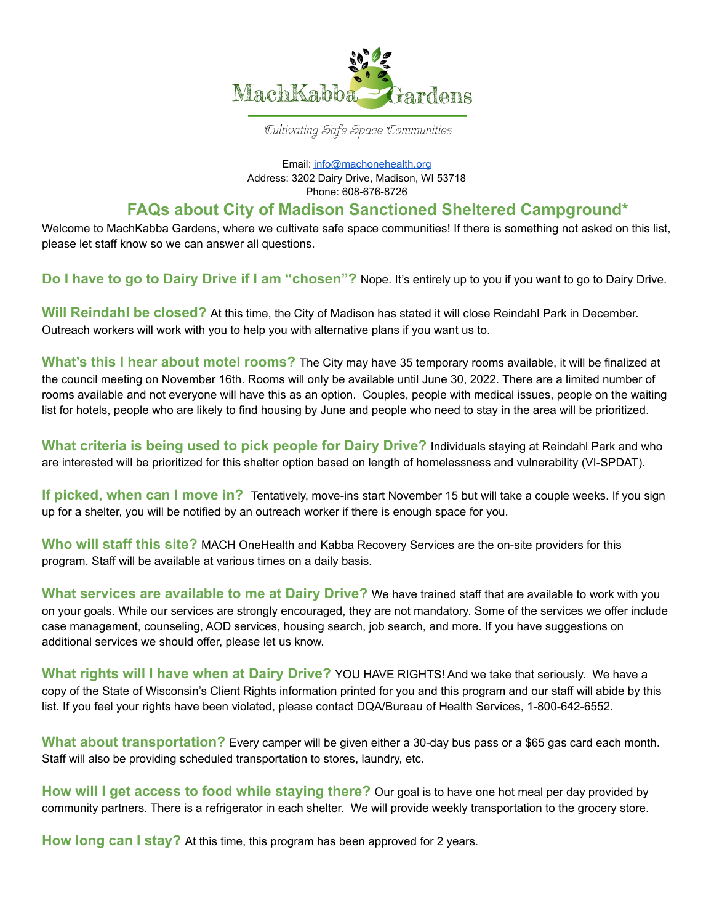

## Cultivating Safe Space Communities

Email: [info@machonehealth.org](mailto:info@machonehealth.org) Address: 3202 Dairy Drive, Madison, WI 53718 Phone: 608-676-8726

## **FAQs about City of Madison Sanctioned Sheltered Campground\***

Welcome to MachKabba Gardens, where we cultivate safe space communities! If there is something not asked on this list, please let staff know so we can answer all questions.

**Do I have to go to Dairy Drive if I am "chosen"?** Nope. It's entirely up to you if you want to go to Dairy Drive.

**Will Reindahl be closed?** At this time, the City of Madison has stated it will close Reindahl Park in December. Outreach workers will work with you to help you with alternative plans if you want us to.

**What's this I hear about motel rooms?** The City may have 35 temporary rooms available, it will be finalized at the council meeting on November 16th. Rooms will only be available until June 30, 2022. There are a limited number of rooms available and not everyone will have this as an option. Couples, people with medical issues, people on the waiting list for hotels, people who are likely to find housing by June and people who need to stay in the area will be prioritized.

**What criteria is being used to pick people for Dairy Drive?** Individuals staying at Reindahl Park and who are interested will be prioritized for this shelter option based on length of homelessness and vulnerability (VI-SPDAT).

**If picked, when can I move in?** Tentatively, move-ins start November 15 but will take a couple weeks. If you sign up for a shelter, you will be notified by an outreach worker if there is enough space for you.

**Who will staff this site?** MACH OneHealth and Kabba Recovery Services are the on-site providers for this program. Staff will be available at various times on a daily basis.

**What services are available to me at Dairy Drive?** We have trained staff that are available to work with you on your goals. While our services are strongly encouraged, they are not mandatory. Some of the services we offer include case management, counseling, AOD services, housing search, job search, and more. If you have suggestions on additional services we should offer, please let us know.

**What rights will I have when at Dairy Drive?** YOU HAVE RIGHTS! And we take that seriously. We have a copy of the State of Wisconsin's Client Rights information printed for you and this program and our staff will abide by this list. If you feel your rights have been violated, please contact DQA/Bureau of Health Services, 1-800-642-6552.

**What about transportation?** Every camper will be given either a 30-day bus pass or a \$65 gas card each month. Staff will also be providing scheduled transportation to stores, laundry, etc.

**How will I get access to food while staying there?** Our goal is to have one hot meal per day provided by community partners. There is a refrigerator in each shelter. We will provide weekly transportation to the grocery store.

**How long can I stay?** At this time, this program has been approved for 2 years.